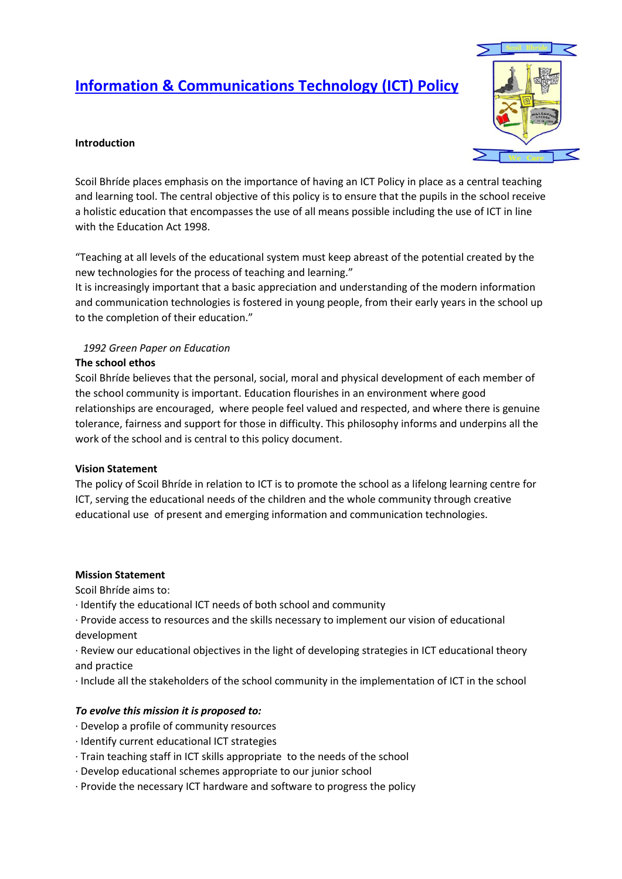# **Information & Communications Technology (ICT) Policy**



# **Introduction**

Scoil Bhríde places emphasis on the importance of having an ICT Policy in place as a central teaching and learning tool. The central objective of this policy is to ensure that the pupils in the school receive a holistic education that encompasses the use of all means possible including the use of ICT in line with the Education Act 1998.

"Teaching at all levels of the educational system must keep abreast of the potential created by the new technologies for the process of teaching and learning."

It is increasingly important that a basic appreciation and understanding of the modern information and communication technologies is fostered in young people, from their early years in the school up to the completion of their education."

# *1992 Green Paper on Education*

#### **The school ethos**

Scoil Bhríde believes that the personal, social, moral and physical development of each member of the school community is important. Education flourishes in an environment where good relationships are encouraged, where people feel valued and respected, and where there is genuine tolerance, fairness and support for those in difficulty. This philosophy informs and underpins all the work of the school and is central to this policy document.

#### **Vision Statement**

The policy of Scoil Bhríde in relation to ICT is to promote the school as a lifelong learning centre for ICT, serving the educational needs of the children and the whole community through creative educational use of present and emerging information and communication technologies.

#### **Mission Statement**

Scoil Bhríde aims to:

- · Identify the educational ICT needs of both school and community
- · Provide access to resources and the skills necessary to implement our vision of educational development

· Review our educational objectives in the light of developing strategies in ICT educational theory and practice

· Include all the stakeholders of the school community in the implementation of ICT in the school

# *To evolve this mission it is proposed to:*

- · Develop a profile of community resources
- · Identify current educational ICT strategies
- · Train teaching staff in ICT skills appropriate to the needs of the school
- · Develop educational schemes appropriate to our junior school
- · Provide the necessary ICT hardware and software to progress the policy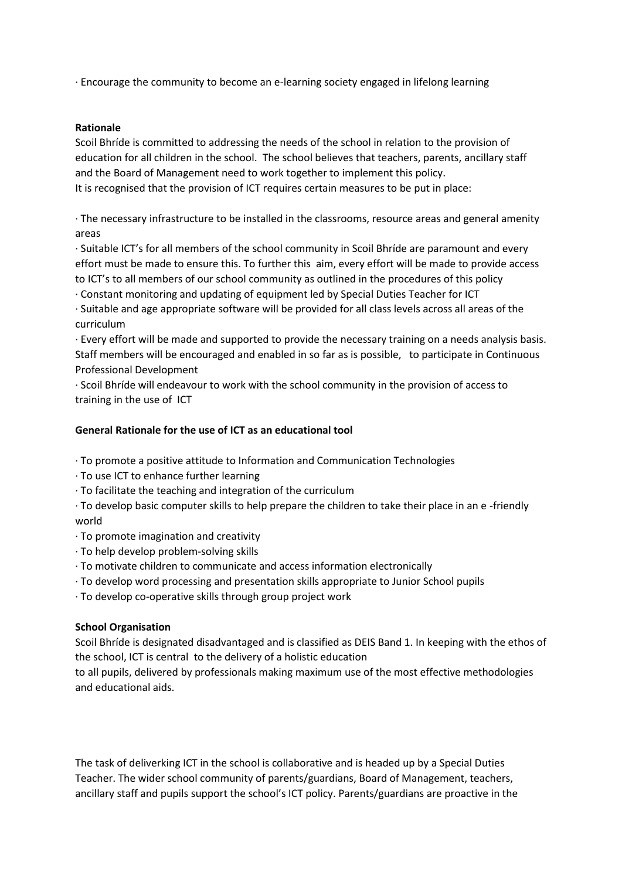· Encourage the community to become an e-learning society engaged in lifelong learning

#### **Rationale**

Scoil Bhríde is committed to addressing the needs of the school in relation to the provision of education for all children in the school. The school believes that teachers, parents, ancillary staff and the Board of Management need to work together to implement this policy. It is recognised that the provision of ICT requires certain measures to be put in place:

· The necessary infrastructure to be installed in the classrooms, resource areas and general amenity areas

· Suitable ICT's for all members of the school community in Scoil Bhríde are paramount and every effort must be made to ensure this. To further this aim, every effort will be made to provide access to ICT's to all members of our school community as outlined in the procedures of this policy

· Constant monitoring and updating of equipment led by Special Duties Teacher for ICT

· Suitable and age appropriate software will be provided for all class levels across all areas of the curriculum

· Every effort will be made and supported to provide the necessary training on a needs analysis basis. Staff members will be encouraged and enabled in so far as is possible, to participate in Continuous Professional Development

· Scoil Bhríde will endeavour to work with the school community in the provision of access to training in the use of ICT

#### **General Rationale for the use of ICT as an educational tool**

· To promote a positive attitude to Information and Communication Technologies

- · To use ICT to enhance further learning
- · To facilitate the teaching and integration of the curriculum
- · To develop basic computer skills to help prepare the children to take their place in an e -friendly world
- · To promote imagination and creativity
- · To help develop problem-solving skills
- · To motivate children to communicate and access information electronically
- · To develop word processing and presentation skills appropriate to Junior School pupils
- · To develop co-operative skills through group project work

#### **School Organisation**

Scoil Bhríde is designated disadvantaged and is classified as DEIS Band 1. In keeping with the ethos of the school, ICT is central to the delivery of a holistic education

to all pupils, delivered by professionals making maximum use of the most effective methodologies and educational aids.

The task of deliverking ICT in the school is collaborative and is headed up by a Special Duties Teacher. The wider school community of parents/guardians, Board of Management, teachers, ancillary staff and pupils support the school's ICT policy. Parents/guardians are proactive in the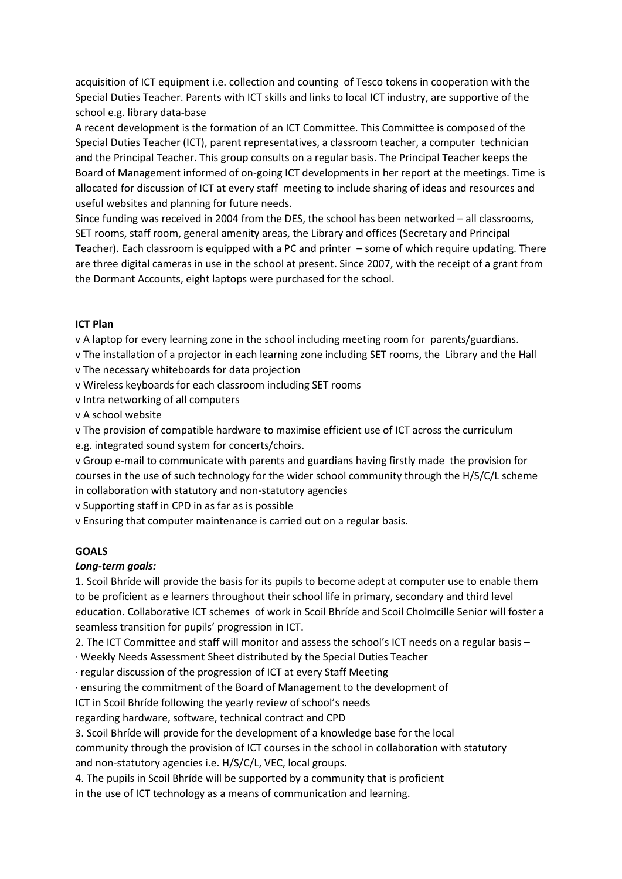acquisition of ICT equipment i.e. collection and counting of Tesco tokens in cooperation with the Special Duties Teacher. Parents with ICT skills and links to local ICT industry, are supportive of the school e.g. library data-base

A recent development is the formation of an ICT Committee. This Committee is composed of the Special Duties Teacher (ICT), parent representatives, a classroom teacher, a computer technician and the Principal Teacher. This group consults on a regular basis. The Principal Teacher keeps the Board of Management informed of on-going ICT developments in her report at the meetings. Time is allocated for discussion of ICT at every staff meeting to include sharing of ideas and resources and useful websites and planning for future needs.

Since funding was received in 2004 from the DES, the school has been networked – all classrooms, SET rooms, staff room, general amenity areas, the Library and offices (Secretary and Principal Teacher). Each classroom is equipped with a PC and printer – some of which require updating. There are three digital cameras in use in the school at present. Since 2007, with the receipt of a grant from the Dormant Accounts, eight laptops were purchased for the school.

# **ICT Plan**

v A laptop for every learning zone in the school including meeting room for parents/guardians.

- v The installation of a projector in each learning zone including SET rooms, the Library and the Hall v The necessary whiteboards for data projection
- v Wireless keyboards for each classroom including SET rooms
- v Intra networking of all computers

v A school website

v The provision of compatible hardware to maximise efficient use of ICT across the curriculum

e.g. integrated sound system for concerts/choirs.

v Group e-mail to communicate with parents and guardians having firstly made the provision for courses in the use of such technology for the wider school community through the H/S/C/L scheme in collaboration with statutory and non-statutory agencies

v Supporting staff in CPD in as far as is possible

v Ensuring that computer maintenance is carried out on a regular basis.

# **GOALS**

# *Long-term goals:*

1. Scoil Bhríde will provide the basis for its pupils to become adept at computer use to enable them to be proficient as e learners throughout their school life in primary, secondary and third level education. Collaborative ICT schemes of work in Scoil Bhríde and Scoil Cholmcille Senior will foster a seamless transition for pupils' progression in ICT.

2. The ICT Committee and staff will monitor and assess the school's ICT needs on a regular basis –

· Weekly Needs Assessment Sheet distributed by the Special Duties Teacher

· regular discussion of the progression of ICT at every Staff Meeting

· ensuring the commitment of the Board of Management to the development of

ICT in Scoil Bhríde following the yearly review of school's needs

regarding hardware, software, technical contract and CPD

3. Scoil Bhríde will provide for the development of a knowledge base for the local

community through the provision of ICT courses in the school in collaboration with statutory and non-statutory agencies i.e. H/S/C/L, VEC, local groups.

4. The pupils in Scoil Bhríde will be supported by a community that is proficient

in the use of ICT technology as a means of communication and learning.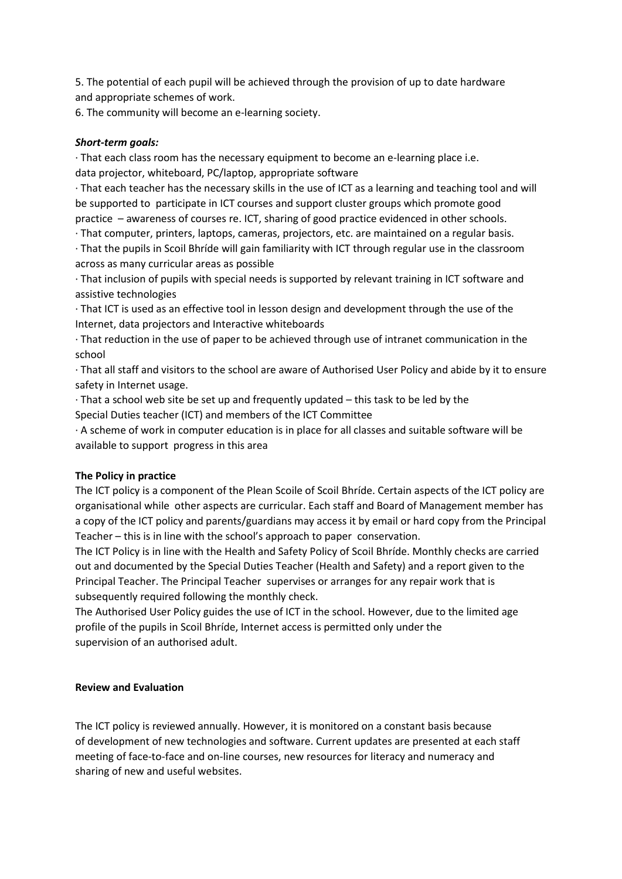5. The potential of each pupil will be achieved through the provision of up to date hardware and appropriate schemes of work.

6. The community will become an e-learning society.

# *Short-term goals:*

· That each class room has the necessary equipment to become an e-learning place i.e. data projector, whiteboard, PC/laptop, appropriate software

· That each teacher has the necessary skills in the use of ICT as a learning and teaching tool and will be supported to participate in ICT courses and support cluster groups which promote good practice – awareness of courses re. ICT, sharing of good practice evidenced in other schools.

· That computer, printers, laptops, cameras, projectors, etc. are maintained on a regular basis.

· That the pupils in Scoil Bhríde will gain familiarity with ICT through regular use in the classroom across as many curricular areas as possible

· That inclusion of pupils with special needs is supported by relevant training in ICT software and assistive technologies

· That ICT is used as an effective tool in lesson design and development through the use of the Internet, data projectors and Interactive whiteboards

· That reduction in the use of paper to be achieved through use of intranet communication in the school

· That all staff and visitors to the school are aware of Authorised User Policy and abide by it to ensure safety in Internet usage.

· That a school web site be set up and frequently updated – this task to be led by the Special Duties teacher (ICT) and members of the ICT Committee

· A scheme of work in computer education is in place for all classes and suitable software will be available to support progress in this area

#### **The Policy in practice**

The ICT policy is a component of the Plean Scoile of Scoil Bhríde. Certain aspects of the ICT policy are organisational while other aspects are curricular. Each staff and Board of Management member has a copy of the ICT policy and parents/guardians may access it by email or hard copy from the Principal Teacher – this is in line with the school's approach to paper conservation.

The ICT Policy is in line with the Health and Safety Policy of Scoil Bhríde. Monthly checks are carried out and documented by the Special Duties Teacher (Health and Safety) and a report given to the Principal Teacher. The Principal Teacher supervises or arranges for any repair work that is subsequently required following the monthly check.

The Authorised User Policy guides the use of ICT in the school. However, due to the limited age profile of the pupils in Scoil Bhríde, Internet access is permitted only under the supervision of an authorised adult.

#### **Review and Evaluation**

The ICT policy is reviewed annually. However, it is monitored on a constant basis because of development of new technologies and software. Current updates are presented at each staff meeting of face-to-face and on-line courses, new resources for literacy and numeracy and sharing of new and useful websites.